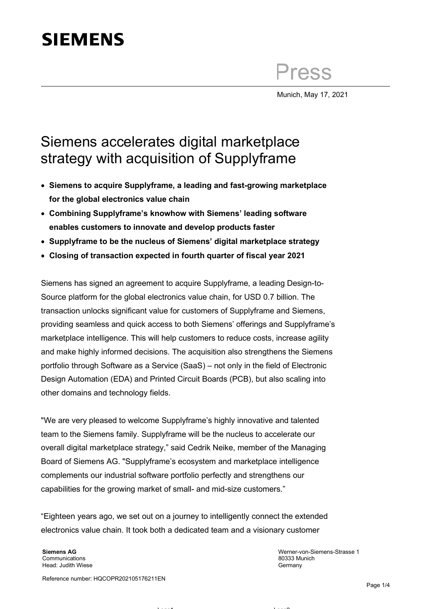## **SIEMENS**

Press

Munich, May 17, 2021

## Siemens accelerates digital marketplace strategy with acquisition of Supplyframe

- **Siemens to acquire Supplyframe, a leading and fast-growing marketplace for the global electronics value chain**
- **Combining Supplyframe's knowhow with Siemens' leading software enables customers to innovate and develop products faster**
- **Supplyframe to be the nucleus of Siemens' digital marketplace strategy**
- **Closing of transaction expected in fourth quarter of fiscal year 2021**

Siemens has signed an agreement to acquire Supplyframe, a leading Design-to-Source platform for the global electronics value chain, for USD 0.7 billion. The transaction unlocks significant value for customers of Supplyframe and Siemens, providing seamless and quick access to both Siemens' offerings and Supplyframe's marketplace intelligence. This will help customers to reduce costs, increase agility and make highly informed decisions. The acquisition also strengthens the Siemens portfolio through Software as a Service (SaaS) – not only in the field of Electronic Design Automation (EDA) and Printed Circuit Boards (PCB), but also scaling into other domains and technology fields.

"We are very pleased to welcome Supplyframe's highly innovative and talented team to the Siemens family. Supplyframe will be the nucleus to accelerate our overall digital marketplace strategy," said Cedrik Neike, member of the Managing Board of Siemens AG. "Supplyframe's ecosystem and marketplace intelligence complements our industrial software portfolio perfectly and strengthens our capabilities for the growing market of small- and mid-size customers."

"Eighteen years ago, we set out on a journey to intelligently connect the extended electronics value chain. It took both a dedicated team and a visionary customer

**Siemens AG** Communications Head: Judith Wiese

Werner-von-Siemens-Strasse 1 80333 Munich Germany

Reference number: HQCOPR202105176211EN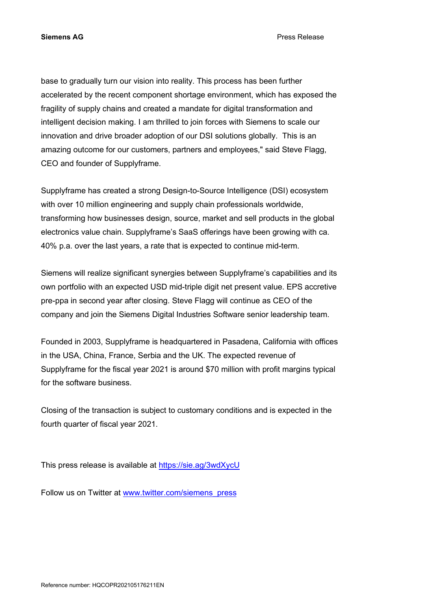**Siemens AG** Press Release

base to gradually turn our vision into reality. This process has been further accelerated by the recent component shortage environment, which has exposed the fragility of supply chains and created a mandate for digital transformation and intelligent decision making. I am thrilled to join forces with Siemens to scale our innovation and drive broader adoption of our DSI solutions globally. This is an amazing outcome for our customers, partners and employees," said Steve Flagg, CEO and founder of Supplyframe.

Supplyframe has created a strong Design-to-Source Intelligence (DSI) ecosystem with over 10 million engineering and supply chain professionals worldwide, transforming how businesses design, source, market and sell products in the global electronics value chain. Supplyframe's SaaS offerings have been growing with ca. 40% p.a. over the last years, a rate that is expected to continue mid-term.

Siemens will realize significant synergies between Supplyframe's capabilities and its own portfolio with an expected USD mid-triple digit net present value. EPS accretive pre-ppa in second year after closing. Steve Flagg will continue as CEO of the company and join the Siemens Digital Industries Software senior leadership team.

Founded in 2003, Supplyframe is headquartered in Pasadena, California with offices in the USA, China, France, Serbia and the UK. The expected revenue of Supplyframe for the fiscal year 2021 is around \$70 million with profit margins typical for the software business.

Closing of the transaction is subject to customary conditions and is expected in the fourth quarter of fiscal year 2021.

This press release is available at<https://sie.ag/3wdXycU>

Follow us on Twitter at [www.twitter.com/siemens\\_press](http://www.twitter.com/siemens_press)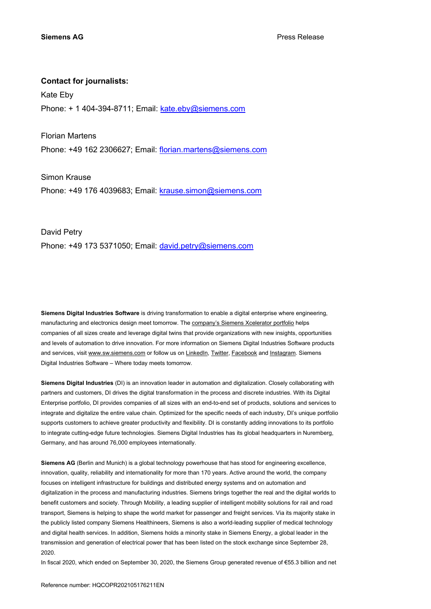## **Contact for journalists:**

Kate Eby Phone: + 1 404-394-8711; Email: [kate.eby@siemens.com](mailto:kate.eby@siemens.com)

Florian Martens

Phone: +49 162 2306627; Email: [florian.martens@siemens.com](mailto:florian.martens@siemens.com)

Simon Krause Phone: +49 176 4039683; Email: [krause.simon@siemens.com](mailto:krause.simon@siemens.com)

David Petry Phone: +49 173 5371050; Email: [david.petry@siemens.com](mailto:david.petry@siemens.com)

**Siemens Digital Industries Software** is driving transformation to enable a digital enterprise where engineering, manufacturing and electronics design meet tomorrow. Th[e company's Siemens Xcelerator portfolio](https://www.sw.siemens.com/portfolio/) helps companies of all sizes create and leverage digital twins that provide organizations with new insights, opportunities and levels of automation to drive innovation. For more information on Siemens Digital Industries Software products and services, visit [www.sw.siemens.com](http://www.sw.siemens.com/) or follow us on [LinkedIn,](https://www.linkedin.com/company/siemenssoftware) [Twitter,](http://www.twitter.com/siemenssoftware) [Facebook](http://www.facebook.com/SiemensDISoftware) and [Instagram.](http://www.instagram.com/siemenssoftware) Siemens Digital Industries Software – Where today meets tomorrow.

**Siemens Digital Industries** (DI) is an innovation leader in automation and digitalization. Closely collaborating with partners and customers, DI drives the digital transformation in the process and discrete industries. With its Digital Enterprise portfolio, DI provides companies of all sizes with an end-to-end set of products, solutions and services to integrate and digitalize the entire value chain. Optimized for the specific needs of each industry, DI's unique portfolio supports customers to achieve greater productivity and flexibility. DI is constantly adding innovations to its portfolio to integrate cutting-edge future technologies. Siemens Digital Industries has its global headquarters in Nuremberg, Germany, and has around 76,000 employees internationally.

**Siemens AG** (Berlin and Munich) is a global technology powerhouse that has stood for engineering excellence, innovation, quality, reliability and internationality for more than 170 years. Active around the world, the company focuses on intelligent infrastructure for buildings and distributed energy systems and on automation and digitalization in the process and manufacturing industries. Siemens brings together the real and the digital worlds to benefit customers and society. Through Mobility, a leading supplier of intelligent mobility solutions for rail and road transport, Siemens is helping to shape the world market for passenger and freight services. Via its majority stake in the publicly listed company Siemens Healthineers, Siemens is also a world-leading supplier of medical technology and digital health services. In addition, Siemens holds a minority stake in Siemens Energy, a global leader in the transmission and generation of electrical power that has been listed on the stock exchange since September 28, 2020.

In fiscal 2020, which ended on September 30, 2020, the Siemens Group generated revenue of €55.3 billion and net